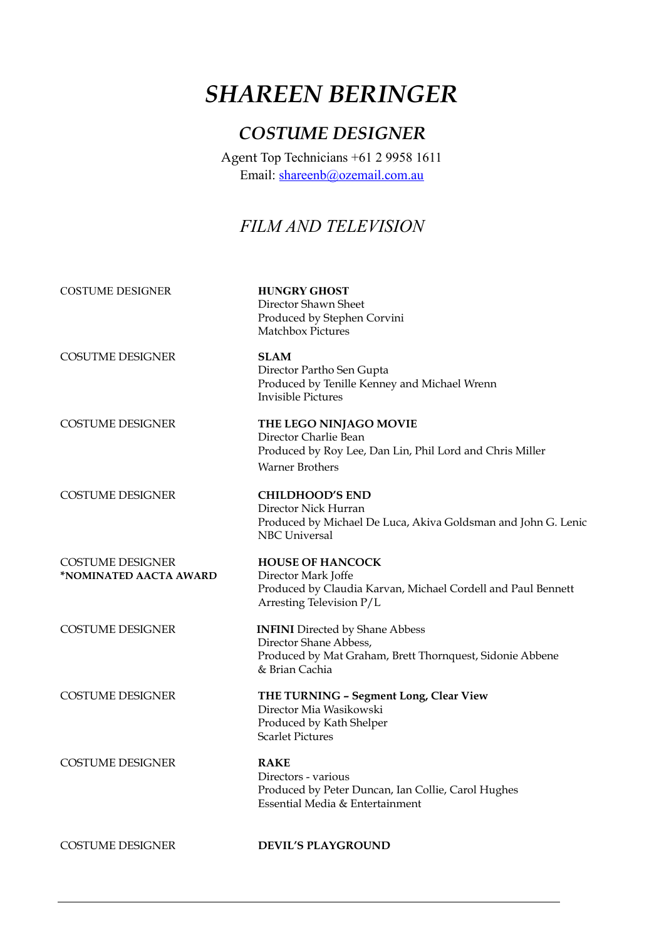# *SHAREEN BERINGER*

### *COSTUME DESIGNER*

Agent Top Technicians +61 2 9958 1611 Email: [shareenb@ozemail.com.au](mailto:shareenb@ozemail.com.au)

## *FILM AND TELEVISION*

COSTUME DESIGNER **HUNGRY GHOST**  Director Shawn Sheet Produced by Stephen Corvini Matchbox Pictures COSUTME DESIGNER **SLAM**  Director Partho Sen Gupta Produced by Tenille Kenney and Michael Wrenn Invisible Pictures COSTUME DESIGNER **THE LEGO NINJAGO MOVIE** Director Charlie Bean Produced by Roy Lee, Dan Lin, Phil Lord and Chris Miller Warner Brothers COSTUME DESIGNER **CHILDHOOD'S END** Director Nick Hurran Produced by Michael De Luca, Akiva Goldsman and John G. Lenic NBC Universal **COSTUME DESIGNER HOUSE OF HANCOCK \*NOMINATED AACTA AWARD** Director Mark Joffe Produced by Claudia Karvan, Michael Cordell and Paul Bennett Arresting Television P/L COSTUME DESIGNER **INFINI** Directed by Shane Abbess Director Shane Abbess, Produced by Mat Graham, Brett Thornquest, Sidonie Abbene & Brian Cachia COSTUME DESIGNER **THE TURNING – Segment Long, Clear View** Director Mia Wasikowski Produced by Kath Shelper Scarlet Pictures COSTUME DESIGNER **RAKE** Directors - various Produced by Peter Duncan, Ian Collie, Carol Hughes Essential Media & Entertainment

COSTUME DESIGNER **DEVIL'S PLAYGROUND**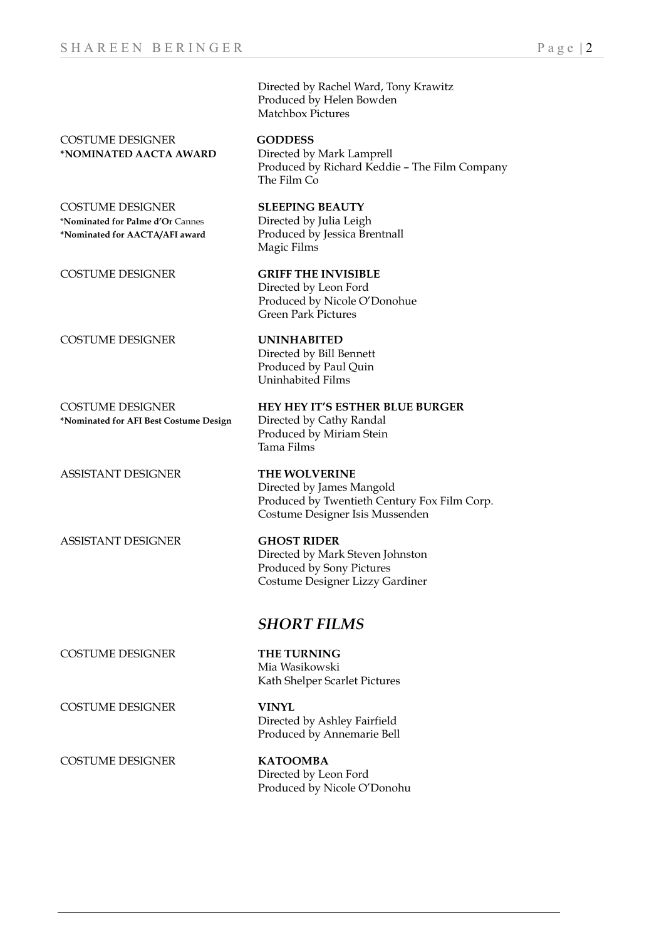|                                                                                               | <b>SHORT FILMS</b>                                                                                                                   |
|-----------------------------------------------------------------------------------------------|--------------------------------------------------------------------------------------------------------------------------------------|
| <b>ASSISTANT DESIGNER</b>                                                                     | <b>GHOST RIDER</b><br>Directed by Mark Steven Johnston<br>Produced by Sony Pictures<br>Costume Designer Lizzy Gardiner               |
| ASSISTANT DESIGNER                                                                            | <b>THE WOLVERINE</b><br>Directed by James Mangold<br>Produced by Twentieth Century Fox Film Corp.<br>Costume Designer Isis Mussenden |
| <b>COSTUME DESIGNER</b><br>*Nominated for AFI Best Costume Design                             | HEY HEY IT'S ESTHER BLUE BURGER<br>Directed by Cathy Randal<br>Produced by Miriam Stein<br>Tama Films                                |
| COSTUME DESIGNER                                                                              | <b>UNINHABITED</b><br>Directed by Bill Bennett<br>Produced by Paul Quin<br>Uninhabited Films                                         |
| <b>COSTUME DESIGNER</b>                                                                       | <b>GRIFF THE INVISIBLE</b><br>Directed by Leon Ford<br>Produced by Nicole O'Donohue<br>Green Park Pictures                           |
| <b>COSTUME DESIGNER</b><br>*Nominated for Palme d'Or Cannes<br>*Nominated for AACTA/AFI award | <b>SLEEPING BEAUTY</b><br>Directed by Julia Leigh<br>Produced by Jessica Brentnall<br>Magic Films                                    |
| <b>COSTUME DESIGNER</b><br>*NOMINATED AACTA AWARD                                             | <b>GODDESS</b><br>Directed by Mark Lamprell<br>Produced by Richard Keddie - The Film Company<br>The Film Co                          |
|                                                                                               | Directed by Rachel Ward, Tony Krawitz<br>Produced by Helen Bowden<br><b>Matchbox Pictures</b>                                        |
|                                                                                               |                                                                                                                                      |

COSTUME DESIGNER **THE TURNING** 

COSTUME DESIGNER **VINYL**

COSTUME DESIGNER **KATOOMBA** Directed by Leon Ford Produced by Nicole O'Donohu

Kath Shelper Scarlet Pictures

Mia Wasikowski

 Directed by Ashley Fairfield Produced by Annemarie Bell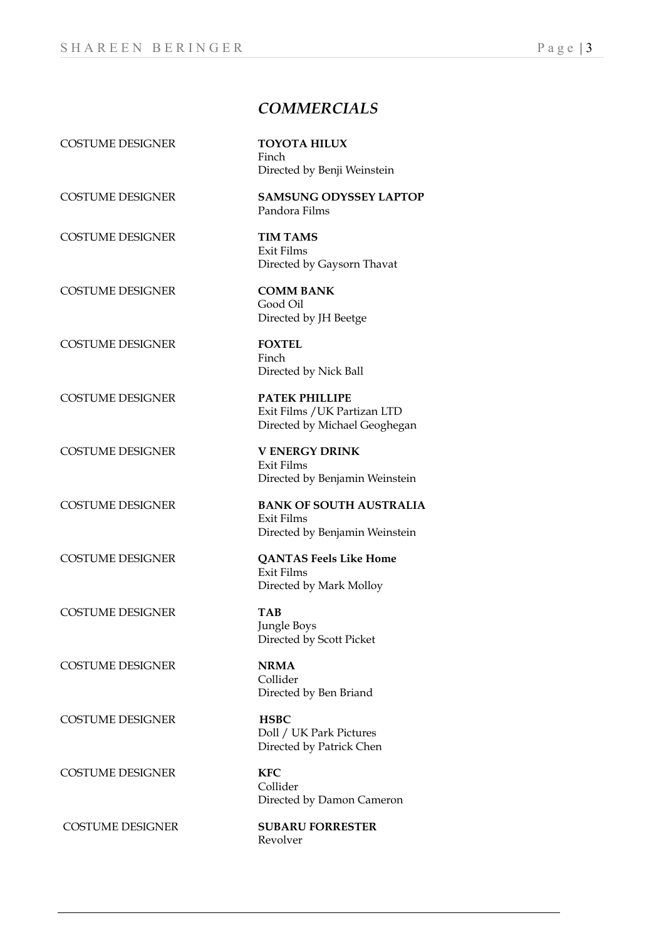### *COMMERCIALS*

COSTUME DESIGNER **TOYOTA HILUX**

COSTUME DESIGNER **TIM TAMS** 

COSTUME DESIGNER **COMM BANK** 

COSTUME DESIGNER **FOXTEL** 

COSTUME DESIGNER **PATEK PHILLIPE** 

COSTUME DESIGNER **V ENERGY DRINK** 

COSTUME DESIGNER **TAB** 

COSTUME DESIGNER **NRMA** 

COSTUME DESIGNER **HSBC**

COSTUME DESIGNER **KFC**

COSTUME DESIGNER **SUBARU FORRESTER** 

 Finch Directed by Benji Weinstein

COSTUME DESIGNER **SAMSUNG ODYSSEY LAPTOP** Pandora Films

> Exit Films Directed by Gaysorn Thavat

Good Oil Directed by JH Beetge

Finch Directed by Nick Ball

Exit Films /UK Partizan LTD Directed by Michael Geoghegan

Exit Films Directed by Benjamin Weinstein

COSTUME DESIGNER **BANK OF SOUTH AUSTRALIA** Exit Films Directed by Benjamin Weinstein

COSTUME DESIGNER **QANTAS Feels Like Home**  Exit Films Directed by Mark Molloy

> Jungle Boys Directed by Scott Picket

Collider Directed by Ben Briand

Doll / UK Park Pictures Directed by Patrick Chen

 Collider Directed by Damon Cameron

Revolver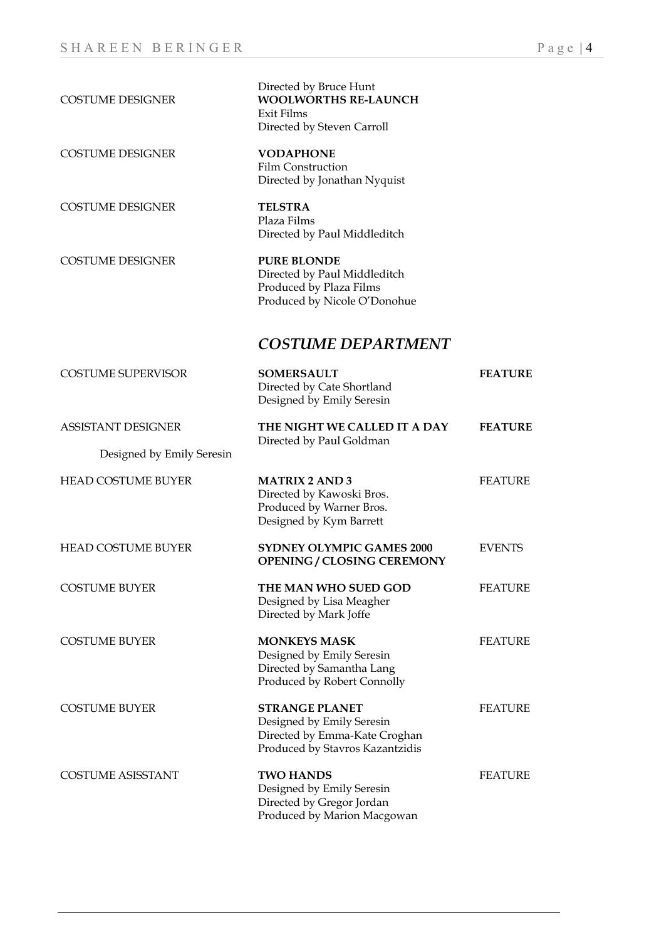| <b>COSTUME DESIGNER</b>   | Directed by Bruce Hunt<br><b>WOOLWORTHS RE-LAUNCH</b><br>Exit Films<br>Directed by Steven Carroll                      |                |
|---------------------------|------------------------------------------------------------------------------------------------------------------------|----------------|
| <b>COSTUME DESIGNER</b>   | <b>VODAPHONE</b><br><b>Film Construction</b><br>Directed by Jonathan Nyquist                                           |                |
| <b>COSTUME DESIGNER</b>   | <b>TELSTRA</b><br>Plaza Films<br>Directed by Paul Middleditch                                                          |                |
| <b>COSTUME DESIGNER</b>   | <b>PURE BLONDE</b><br>Directed by Paul Middleditch<br>Produced by Plaza Films<br>Produced by Nicole O'Donohue          |                |
|                           | <b>COSTUME DEPARTMENT</b>                                                                                              |                |
| <b>COSTUME SUPERVISOR</b> | <b>SOMERSAULT</b><br>Directed by Cate Shortland<br>Designed by Emily Seresin                                           | <b>FEATURE</b> |
| <b>ASSISTANT DESIGNER</b> | THE NIGHT WE CALLED IT A DAY                                                                                           | <b>FEATURE</b> |
| Designed by Emily Seresin | Directed by Paul Goldman                                                                                               |                |
| <b>HEAD COSTUME BUYER</b> | <b>MATRIX 2 AND 3</b><br>Directed by Kawoski Bros.<br>Produced by Warner Bros.<br>Designed by Kym Barrett              | <b>FEATURE</b> |
| <b>HEAD COSTUME BUYER</b> | <b>SYDNEY OLYMPIC GAMES 2000</b><br><b>OPENING / CLOSING CEREMONY</b>                                                  | <b>EVENTS</b>  |
| <b>COSTUME BUYER</b>      | THE MAN WHO SUED GOD<br>Designed by Lisa Meagher<br>Directed by Mark Joffe                                             | <b>FEATURE</b> |
| <b>COSTUME BUYER</b>      | <b>MONKEYS MASK</b><br>Designed by Emily Seresin<br>Directed by Samantha Lang<br>Produced by Robert Connolly           | <b>FEATURE</b> |
| <b>COSTUME BUYER</b>      | <b>STRANGE PLANET</b><br>Designed by Emily Seresin<br>Directed by Emma-Kate Croghan<br>Produced by Stavros Kazantzidis | <b>FEATURE</b> |
| <b>COSTUME ASISSTANT</b>  | <b>TWO HANDS</b><br>Designed by Emily Seresin<br>Directed by Gregor Jordan<br>Produced by Marion Macgowan              | <b>FEATURE</b> |